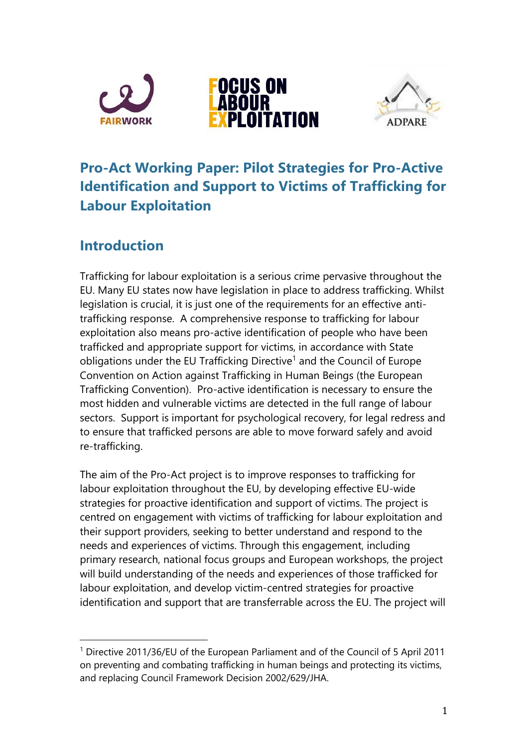





# **Pro-Act Working Paper: Pilot Strategies for Pro-Active Identification and Support to Victims of Trafficking for Labour Exploitation**

### **Introduction**

 $\overline{a}$ 

Trafficking for labour exploitation is a serious crime pervasive throughout the EU. Many EU states now have legislation in place to address trafficking. Whilst legislation is crucial, it is just one of the requirements for an effective antitrafficking response. A comprehensive response to trafficking for labour exploitation also means pro-active identification of people who have been trafficked and appropriate support for victims, in accordance with State obligations under the EU Trafficking Directive<sup>1</sup> and the Council of Europe Convention on Action against Trafficking in Human Beings (the European Trafficking Convention). Pro-active identification is necessary to ensure the most hidden and vulnerable victims are detected in the full range of labour sectors. Support is important for psychological recovery, for legal redress and to ensure that trafficked persons are able to move forward safely and avoid re-trafficking.

The aim of the Pro-Act project is to improve responses to trafficking for labour exploitation throughout the EU, by developing effective EU-wide strategies for proactive identification and support of victims. The project is centred on engagement with victims of trafficking for labour exploitation and their support providers, seeking to better understand and respond to the needs and experiences of victims. Through this engagement, including primary research, national focus groups and European workshops, the project will build understanding of the needs and experiences of those trafficked for labour exploitation, and develop victim-centred strategies for proactive identification and support that are transferrable across the EU. The project will

<sup>1</sup> Directive 2011/36/EU of the European Parliament and of the Council of 5 April 2011 on preventing and combating trafficking in human beings and protecting its victims, and replacing Council Framework Decision 2002/629/JHA.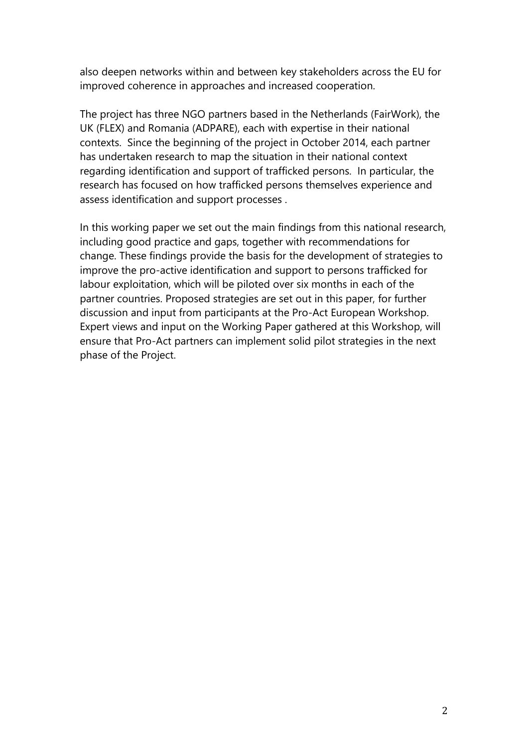also deepen networks within and between key stakeholders across the EU for improved coherence in approaches and increased cooperation.

The project has three NGO partners based in the Netherlands (FairWork), the UK (FLEX) and Romania (ADPARE), each with expertise in their national contexts. Since the beginning of the project in October 2014, each partner has undertaken research to map the situation in their national context regarding identification and support of trafficked persons. In particular, the research has focused on how trafficked persons themselves experience and assess identification and support processes .

In this working paper we set out the main findings from this national research, including good practice and gaps, together with recommendations for change. These findings provide the basis for the development of strategies to improve the pro-active identification and support to persons trafficked for labour exploitation, which will be piloted over six months in each of the partner countries. Proposed strategies are set out in this paper, for further discussion and input from participants at the Pro-Act European Workshop. Expert views and input on the Working Paper gathered at this Workshop, will ensure that Pro-Act partners can implement solid pilot strategies in the next phase of the Project.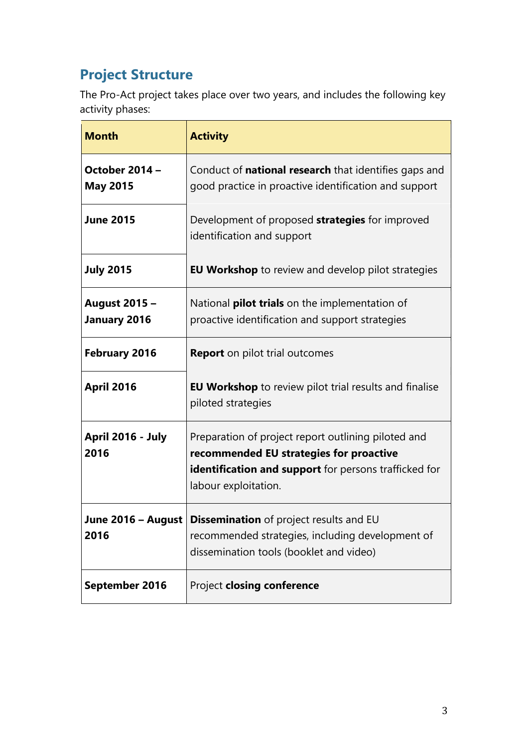# **Project Structure**

The Pro-Act project takes place over two years, and includes the following key activity phases:

| <b>Month</b>                             | <b>Activity</b>                                                                                                                                                                        |
|------------------------------------------|----------------------------------------------------------------------------------------------------------------------------------------------------------------------------------------|
| <b>October 2014 -</b><br><b>May 2015</b> | Conduct of <b>national research</b> that identifies gaps and<br>good practice in proactive identification and support                                                                  |
| <b>June 2015</b>                         | Development of proposed <b>strategies</b> for improved<br>identification and support                                                                                                   |
| <b>July 2015</b>                         | <b>EU Workshop</b> to review and develop pilot strategies                                                                                                                              |
| <b>August 2015 -</b><br>January 2016     | National <b>pilot trials</b> on the implementation of<br>proactive identification and support strategies                                                                               |
| February 2016                            | <b>Report</b> on pilot trial outcomes                                                                                                                                                  |
| April 2016                               | <b>EU Workshop</b> to review pilot trial results and finalise<br>piloted strategies                                                                                                    |
| April 2016 - July<br>2016                | Preparation of project report outlining piloted and<br>recommended EU strategies for proactive<br><b>identification and support</b> for persons trafficked for<br>labour exploitation. |
| 2016                                     | <b>June 2016 – August   Dissemination</b> of project results and EU<br>recommended strategies, including development of<br>dissemination tools (booklet and video)                     |
| September 2016                           | Project closing conference                                                                                                                                                             |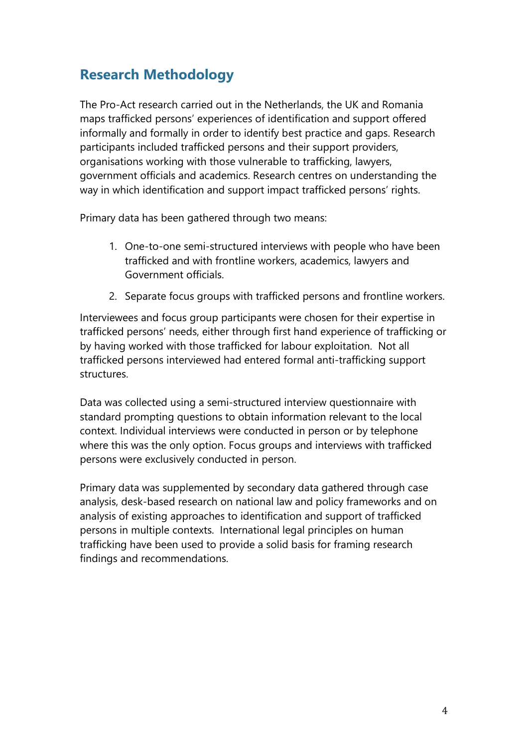### **Research Methodology**

The Pro-Act research carried out in the Netherlands, the UK and Romania maps trafficked persons' experiences of identification and support offered informally and formally in order to identify best practice and gaps. Research participants included trafficked persons and their support providers, organisations working with those vulnerable to trafficking, lawyers, government officials and academics. Research centres on understanding the way in which identification and support impact trafficked persons' rights.

Primary data has been gathered through two means:

- 1. One-to-one semi-structured interviews with people who have been trafficked and with frontline workers, academics, lawyers and Government officials.
- 2. Separate focus groups with trafficked persons and frontline workers.

Interviewees and focus group participants were chosen for their expertise in trafficked persons' needs, either through first hand experience of trafficking or by having worked with those trafficked for labour exploitation. Not all trafficked persons interviewed had entered formal anti-trafficking support structures.

Data was collected using a semi-structured interview questionnaire with standard prompting questions to obtain information relevant to the local context. Individual interviews were conducted in person or by telephone where this was the only option. Focus groups and interviews with trafficked persons were exclusively conducted in person.

Primary data was supplemented by secondary data gathered through case analysis, desk-based research on national law and policy frameworks and on analysis of existing approaches to identification and support of trafficked persons in multiple contexts. International legal principles on human trafficking have been used to provide a solid basis for framing research findings and recommendations.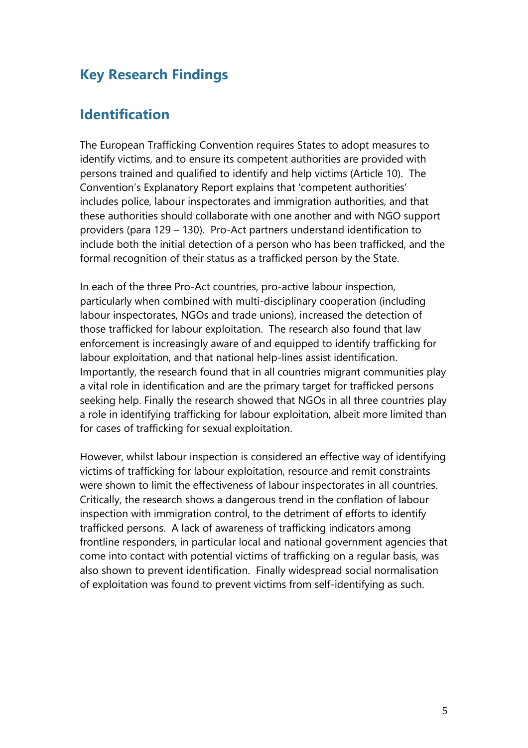### **Key Research Findings**

### **Identification**

The European Trafficking Convention requires States to adopt measures to identify victims, and to ensure its competent authorities are provided with persons trained and qualified to identify and help victims (Article 10). The Convention's Explanatory Report explains that 'competent authorities' includes police, labour inspectorates and immigration authorities, and that these authorities should collaborate with one another and with NGO support providers (para 129 – 130). Pro-Act partners understand identification to include both the initial detection of a person who has been trafficked, and the formal recognition of their status as a trafficked person by the State.

In each of the three Pro-Act countries, pro-active labour inspection, particularly when combined with multi-disciplinary cooperation (including labour inspectorates, NGOs and trade unions), increased the detection of those trafficked for labour exploitation. The research also found that law enforcement is increasingly aware of and equipped to identify trafficking for labour exploitation, and that national help-lines assist identification. Importantly, the research found that in all countries migrant communities play a vital role in identification and are the primary target for trafficked persons seeking help. Finally the research showed that NGOs in all three countries play a role in identifying trafficking for labour exploitation, albeit more limited than for cases of trafficking for sexual exploitation.

However, whilst labour inspection is considered an effective way of identifying victims of trafficking for labour exploitation, resource and remit constraints were shown to limit the effectiveness of labour inspectorates in all countries. Critically, the research shows a dangerous trend in the conflation of labour inspection with immigration control, to the detriment of efforts to identify trafficked persons. A lack of awareness of trafficking indicators among frontline responders, in particular local and national government agencies that come into contact with potential victims of trafficking on a regular basis, was also shown to prevent identification. Finally widespread social normalisation of exploitation was found to prevent victims from self-identifying as such.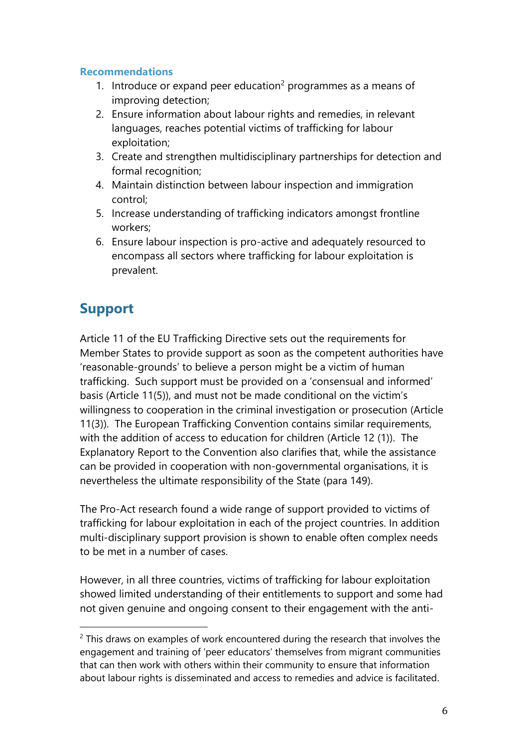#### **Recommendations**

- 1. Introduce or expand peer education<sup>2</sup> programmes as a means of improving detection;
- 2. Ensure information about labour rights and remedies, in relevant languages, reaches potential victims of trafficking for labour exploitation;
- 3. Create and strengthen multidisciplinary partnerships for detection and formal recognition;
- 4. Maintain distinction between labour inspection and immigration control;
- 5. Increase understanding of trafficking indicators amongst frontline workers;
- 6. Ensure labour inspection is pro-active and adequately resourced to encompass all sectors where trafficking for labour exploitation is prevalent.

### **Support**

 $\overline{a}$ 

Article 11 of the EU Trafficking Directive sets out the requirements for Member States to provide support as soon as the competent authorities have 'reasonable-grounds' to believe a person might be a victim of human trafficking. Such support must be provided on a 'consensual and informed' basis (Article 11(5)), and must not be made conditional on the victim's willingness to cooperation in the criminal investigation or prosecution (Article 11(3)). The European Trafficking Convention contains similar requirements, with the addition of access to education for children (Article 12 (1)). The Explanatory Report to the Convention also clarifies that, while the assistance can be provided in cooperation with non-governmental organisations, it is nevertheless the ultimate responsibility of the State (para 149).

The Pro-Act research found a wide range of support provided to victims of trafficking for labour exploitation in each of the project countries. In addition multi-disciplinary support provision is shown to enable often complex needs to be met in a number of cases.

However, in all three countries, victims of trafficking for labour exploitation showed limited understanding of their entitlements to support and some had not given genuine and ongoing consent to their engagement with the anti-

 $2$  This draws on examples of work encountered during the research that involves the engagement and training of 'peer educators' themselves from migrant communities that can then work with others within their community to ensure that information about labour rights is disseminated and access to remedies and advice is facilitated.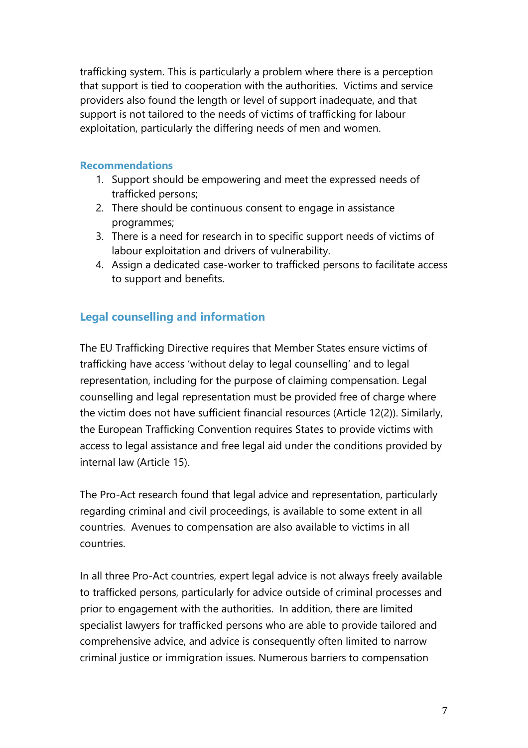trafficking system. This is particularly a problem where there is a perception that support is tied to cooperation with the authorities. Victims and service providers also found the length or level of support inadequate, and that support is not tailored to the needs of victims of trafficking for labour exploitation, particularly the differing needs of men and women.

#### **Recommendations**

- 1. Support should be empowering and meet the expressed needs of trafficked persons;
- 2. There should be continuous consent to engage in assistance programmes;
- 3. There is a need for research in to specific support needs of victims of labour exploitation and drivers of vulnerability.
- 4. Assign a dedicated case-worker to trafficked persons to facilitate access to support and benefits.

#### **Legal counselling and information**

The EU Trafficking Directive requires that Member States ensure victims of trafficking have access 'without delay to legal counselling' and to legal representation, including for the purpose of claiming compensation. Legal counselling and legal representation must be provided free of charge where the victim does not have sufficient financial resources (Article 12(2)). Similarly, the European Trafficking Convention requires States to provide victims with access to legal assistance and free legal aid under the conditions provided by internal law (Article 15).

The Pro-Act research found that legal advice and representation, particularly regarding criminal and civil proceedings, is available to some extent in all countries. Avenues to compensation are also available to victims in all countries.

In all three Pro-Act countries, expert legal advice is not always freely available to trafficked persons, particularly for advice outside of criminal processes and prior to engagement with the authorities. In addition, there are limited specialist lawyers for trafficked persons who are able to provide tailored and comprehensive advice, and advice is consequently often limited to narrow criminal justice or immigration issues. Numerous barriers to compensation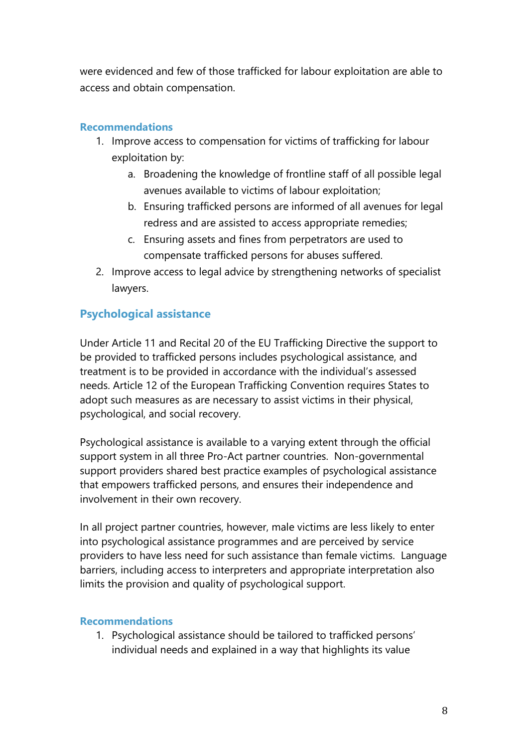were evidenced and few of those trafficked for labour exploitation are able to access and obtain compensation.

#### **Recommendations**

- 1. Improve access to compensation for victims of trafficking for labour exploitation by:
	- a. Broadening the knowledge of frontline staff of all possible legal avenues available to victims of labour exploitation;
	- b. Ensuring trafficked persons are informed of all avenues for legal redress and are assisted to access appropriate remedies;
	- c. Ensuring assets and fines from perpetrators are used to compensate trafficked persons for abuses suffered.
- 2. Improve access to legal advice by strengthening networks of specialist lawyers.

#### **Psychological assistance**

Under Article 11 and Recital 20 of the EU Trafficking Directive the support to be provided to trafficked persons includes psychological assistance, and treatment is to be provided in accordance with the individual's assessed needs. Article 12 of the European Trafficking Convention requires States to adopt such measures as are necessary to assist victims in their physical, psychological, and social recovery.

Psychological assistance is available to a varying extent through the official support system in all three Pro-Act partner countries. Non-governmental support providers shared best practice examples of psychological assistance that empowers trafficked persons, and ensures their independence and involvement in their own recovery.

In all project partner countries, however, male victims are less likely to enter into psychological assistance programmes and are perceived by service providers to have less need for such assistance than female victims. Language barriers, including access to interpreters and appropriate interpretation also limits the provision and quality of psychological support.

#### **Recommendations**

1. Psychological assistance should be tailored to trafficked persons' individual needs and explained in a way that highlights its value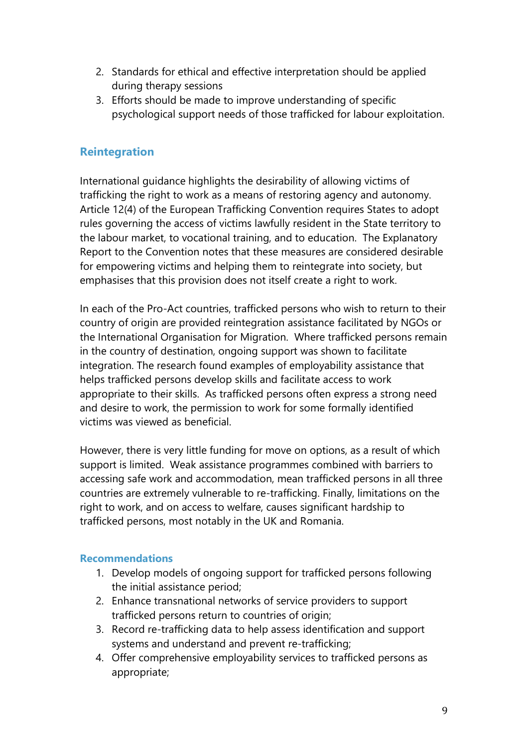- 2. Standards for ethical and effective interpretation should be applied during therapy sessions
- 3. Efforts should be made to improve understanding of specific psychological support needs of those trafficked for labour exploitation.

#### **Reintegration**

International guidance highlights the desirability of allowing victims of trafficking the right to work as a means of restoring agency and autonomy. Article 12(4) of the European Trafficking Convention requires States to adopt rules governing the access of victims lawfully resident in the State territory to the labour market, to vocational training, and to education. The Explanatory Report to the Convention notes that these measures are considered desirable for empowering victims and helping them to reintegrate into society, but emphasises that this provision does not itself create a right to work.

In each of the Pro-Act countries, trafficked persons who wish to return to their country of origin are provided reintegration assistance facilitated by NGOs or the International Organisation for Migration. Where trafficked persons remain in the country of destination, ongoing support was shown to facilitate integration. The research found examples of employability assistance that helps trafficked persons develop skills and facilitate access to work appropriate to their skills. As trafficked persons often express a strong need and desire to work, the permission to work for some formally identified victims was viewed as beneficial.

However, there is very little funding for move on options, as a result of which support is limited. Weak assistance programmes combined with barriers to accessing safe work and accommodation, mean trafficked persons in all three countries are extremely vulnerable to re-trafficking. Finally, limitations on the right to work, and on access to welfare, causes significant hardship to trafficked persons, most notably in the UK and Romania.

#### **Recommendations**

- 1. Develop models of ongoing support for trafficked persons following the initial assistance period;
- 2. Enhance transnational networks of service providers to support trafficked persons return to countries of origin;
- 3. Record re-trafficking data to help assess identification and support systems and understand and prevent re-trafficking;
- 4. Offer comprehensive employability services to trafficked persons as appropriate;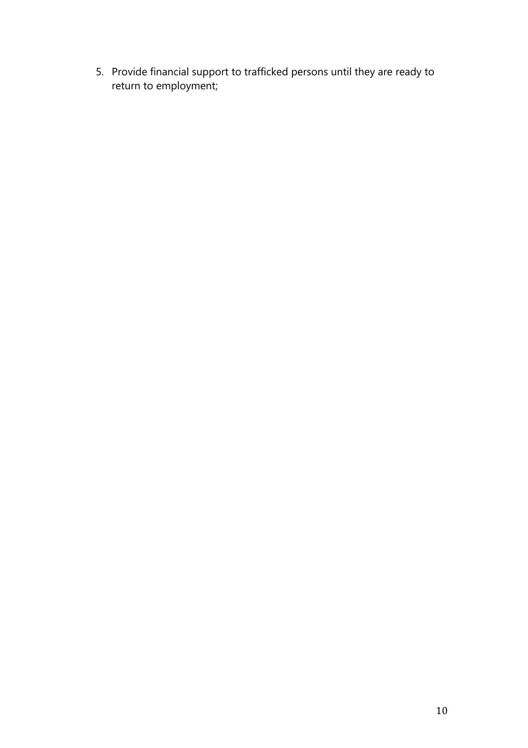5. Provide financial support to trafficked persons until they are ready to return to employment;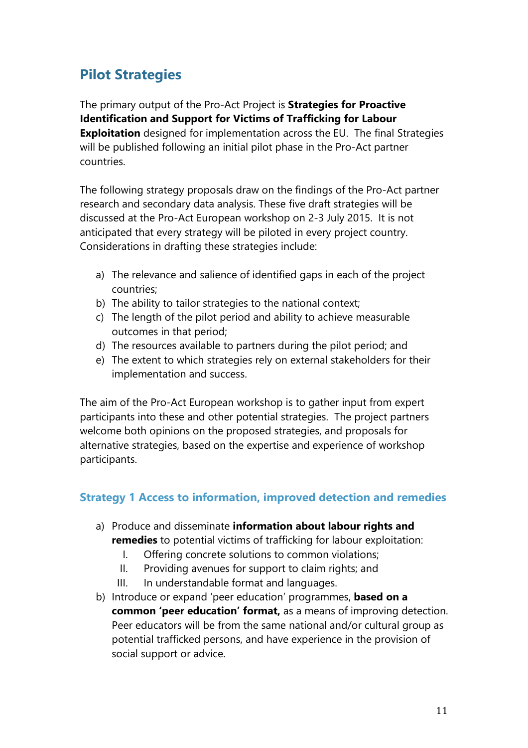# **Pilot Strategies**

The primary output of the Pro-Act Project is **Strategies for Proactive Identification and Support for Victims of Trafficking for Labour Exploitation** designed for implementation across the EU. The final Strategies will be published following an initial pilot phase in the Pro-Act partner countries.

The following strategy proposals draw on the findings of the Pro-Act partner research and secondary data analysis. These five draft strategies will be discussed at the Pro-Act European workshop on 2-3 July 2015. It is not anticipated that every strategy will be piloted in every project country. Considerations in drafting these strategies include:

- a) The relevance and salience of identified gaps in each of the project countries;
- b) The ability to tailor strategies to the national context;
- c) The length of the pilot period and ability to achieve measurable outcomes in that period;
- d) The resources available to partners during the pilot period; and
- e) The extent to which strategies rely on external stakeholders for their implementation and success.

The aim of the Pro-Act European workshop is to gather input from expert participants into these and other potential strategies. The project partners welcome both opinions on the proposed strategies, and proposals for alternative strategies, based on the expertise and experience of workshop participants.

#### **Strategy 1 Access to information, improved detection and remedies**

- a) Produce and disseminate **information about labour rights and remedies** to potential victims of trafficking for labour exploitation:
	- I. Offering concrete solutions to common violations;
	- II. Providing avenues for support to claim rights; and
	- III. In understandable format and languages.
- b) Introduce or expand 'peer education' programmes, **based on a common 'peer education' format,** as a means of improving detection. Peer educators will be from the same national and/or cultural group as potential trafficked persons, and have experience in the provision of social support or advice.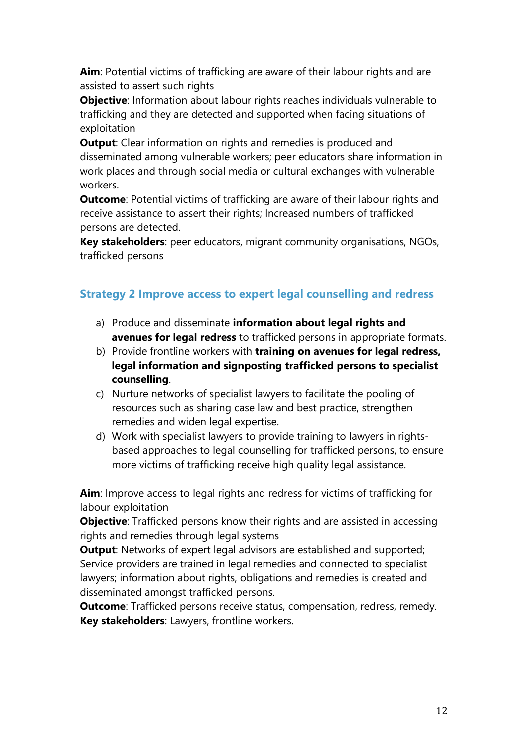**Aim**: Potential victims of trafficking are aware of their labour rights and are assisted to assert such rights

**Objective**: Information about labour rights reaches individuals vulnerable to trafficking and they are detected and supported when facing situations of exploitation

**Output:** Clear information on rights and remedies is produced and disseminated among vulnerable workers; peer educators share information in work places and through social media or cultural exchanges with vulnerable workers.

**Outcome**: Potential victims of trafficking are aware of their labour rights and receive assistance to assert their rights; Increased numbers of trafficked persons are detected.

**Key stakeholders**: peer educators, migrant community organisations, NGOs, trafficked persons

#### **Strategy 2 Improve access to expert legal counselling and redress**

- a) Produce and disseminate **information about legal rights and avenues for legal redress** to trafficked persons in appropriate formats.
- b) Provide frontline workers with **training on avenues for legal redress, legal information and signposting trafficked persons to specialist counselling**.
- c) Nurture networks of specialist lawyers to facilitate the pooling of resources such as sharing case law and best practice, strengthen remedies and widen legal expertise.
- d) Work with specialist lawyers to provide training to lawyers in rightsbased approaches to legal counselling for trafficked persons, to ensure more victims of trafficking receive high quality legal assistance.

**Aim**: Improve access to legal rights and redress for victims of trafficking for labour exploitation

**Objective**: Trafficked persons know their rights and are assisted in accessing rights and remedies through legal systems

**Output:** Networks of expert legal advisors are established and supported; Service providers are trained in legal remedies and connected to specialist lawyers; information about rights, obligations and remedies is created and disseminated amongst trafficked persons.

**Outcome**: Trafficked persons receive status, compensation, redress, remedy. **Key stakeholders**: Lawyers, frontline workers.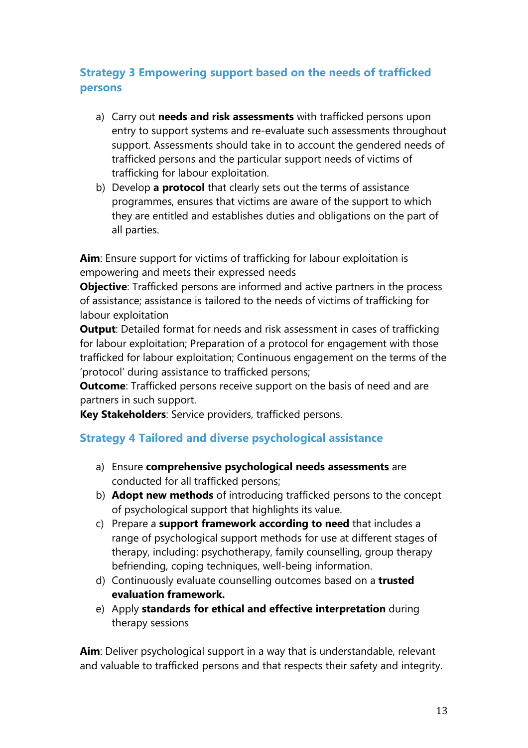#### **Strategy 3 Empowering support based on the needs of trafficked persons**

- a) Carry out **needs and risk assessments** with trafficked persons upon entry to support systems and re-evaluate such assessments throughout support. Assessments should take in to account the gendered needs of trafficked persons and the particular support needs of victims of trafficking for labour exploitation.
- b) Develop **a protocol** that clearly sets out the terms of assistance programmes, ensures that victims are aware of the support to which they are entitled and establishes duties and obligations on the part of all parties.

**Aim**: Ensure support for victims of trafficking for labour exploitation is empowering and meets their expressed needs

**Objective**: Trafficked persons are informed and active partners in the process of assistance; assistance is tailored to the needs of victims of trafficking for labour exploitation

**Output**: Detailed format for needs and risk assessment in cases of trafficking for labour exploitation; Preparation of a protocol for engagement with those trafficked for labour exploitation; Continuous engagement on the terms of the 'protocol' during assistance to trafficked persons;

**Outcome**: Trafficked persons receive support on the basis of need and are partners in such support.

**Key Stakeholders**: Service providers, trafficked persons.

#### **Strategy 4 Tailored and diverse psychological assistance**

- a) Ensure **comprehensive psychological needs assessments** are conducted for all trafficked persons;
- b) **Adopt new methods** of introducing trafficked persons to the concept of psychological support that highlights its value.
- c) Prepare a **support framework according to need** that includes a range of psychological support methods for use at different stages of therapy, including: psychotherapy, family counselling, group therapy befriending, coping techniques, well-being information.
- d) Continuously evaluate counselling outcomes based on a **trusted evaluation framework.**
- e) Apply **standards for ethical and effective interpretation** during therapy sessions

**Aim**: Deliver psychological support in a way that is understandable, relevant and valuable to trafficked persons and that respects their safety and integrity.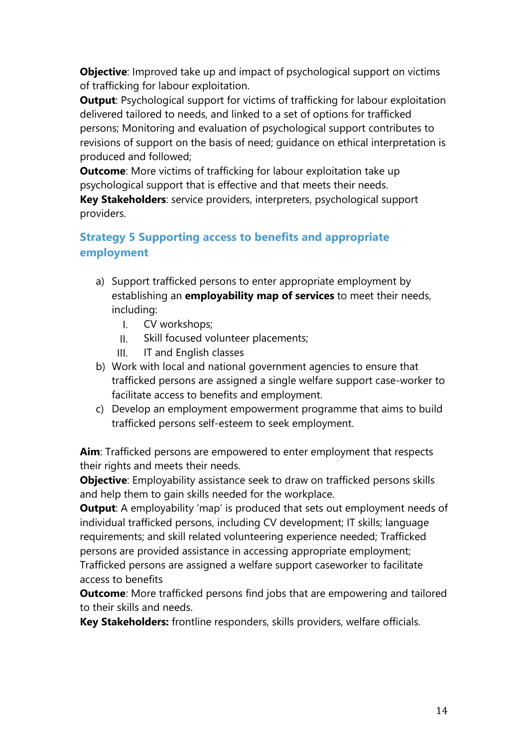**Objective**: Improved take up and impact of psychological support on victims of trafficking for labour exploitation.

**Output:** Psychological support for victims of trafficking for labour exploitation delivered tailored to needs, and linked to a set of options for trafficked persons; Monitoring and evaluation of psychological support contributes to revisions of support on the basis of need; guidance on ethical interpretation is produced and followed;

**Outcome**: More victims of trafficking for labour exploitation take up psychological support that is effective and that meets their needs.

**Key Stakeholders**: service providers, interpreters, psychological support providers.

#### **Strategy 5 Supporting access to benefits and appropriate employment**

- a) Support trafficked persons to enter appropriate employment by establishing an **employability map of services** to meet their needs, including:
	- I. CV workshops;
	- II. Skill focused volunteer placements;
	- III. IT and English classes
- b) Work with local and national government agencies to ensure that trafficked persons are assigned a single welfare support case-worker to facilitate access to benefits and employment.
- c) Develop an employment empowerment programme that aims to build trafficked persons self-esteem to seek employment.

**Aim**: Trafficked persons are empowered to enter employment that respects their rights and meets their needs.

**Objective**: Employability assistance seek to draw on trafficked persons skills and help them to gain skills needed for the workplace.

**Output:** A employability 'map' is produced that sets out employment needs of individual trafficked persons, including CV development; IT skills; language requirements; and skill related volunteering experience needed; Trafficked persons are provided assistance in accessing appropriate employment; Trafficked persons are assigned a welfare support caseworker to facilitate access to benefits

**Outcome**: More trafficked persons find jobs that are empowering and tailored to their skills and needs.

**Key Stakeholders:** frontline responders, skills providers, welfare officials.